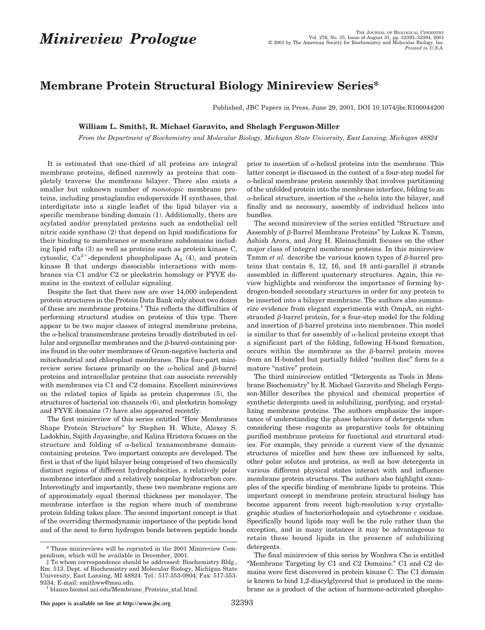## **Membrane Protein Structural Biology Minireview Series\***

Published, JBC Papers in Press, June 29, 2001, DOI 10.1074/jbc.R100044200

## **William L. Smith‡, R. Michael Garavito, and Shelagh Ferguson-Miller**

*From the Department of Biochemistry and Molecular Biology, Michigan State University, East Lansing, Michigan 48824*

It is estimated that one-third of all proteins are integral membrane proteins, defined narrowly as proteins that completely traverse the membrane bilayer. There also exists a smaller but unknown number of *monotopic* membrane proteins, including prostaglandin endoperoxide H synthases, that interdigitate into a single leaflet of the lipid bilayer via a specific membrane binding domain (1). Additionally, there are acylated and/or prenylated proteins such as endothelial cell nitric oxide synthase (2) that depend on lipid modifications for their binding to membranes or membrane subdomains including lipid rafts (3) as well as proteins such as protein kinase C, cytosolic,  $Ca^{2+}$ -dependent phospholipase  $A_2$  (4), and protein kinase B that undergo dissociable interactions with membranes via C1 and/or C2 or pleckstrin homology or FYVE domains in the context of cellular signaling.

Despite the fact that there now are over 14,000 independent protein structures in the Protein Data Bank only about two dozen of these are membrane proteins.<sup>1</sup> This reflects the difficulties of performing structural studies on proteins of this type. There appear to be two major classes of integral membrane proteins, the  $\alpha$ -helical transmembrane proteins broadly distributed in cellular and organellar membranes and the  $\beta$ -barrel-containing porins found in the outer membranes of Gram-negative bacteria and mitochondrial and chloroplast membranes. This four-part minireview series focuses primarily on the  $\alpha$ -helical and  $\beta$ -barrel proteins and intracellular proteins that can associate reversibly with membranes via C1 and C2 domains. Excellent minireviews on the related topics of lipids as protein chaperones (5), the structures of bacterial ion channels (6), and pleckstrin homology and FYVE domains (7) have also appeared recently.

The first minireview of this series entitled "How Membranes Shape Protein Structure" by Stephen H. White, Alexey S. Ladokhin, Sajith Jayasinghe, and Kalina Hristova focuses on the structure and folding of  $\alpha$ -helical transmembrane domaincontaining proteins. Two important concepts are developed. The first is that of the lipid bilayer being comprised of two chemically distinct regions of different hydrophobicities, a relatively polar membrane interface and a relatively nonpolar hydrocarbon core. Interestingly and importantly, these two membrane regions are of approximately equal thermal thickness per monolayer. The membrane interface is the region where much of membrane protein folding takes place. The second important concept is that of the overriding thermodynamic importance of the peptide bond and of the need to form hydrogen bonds between peptide bonds prior to insertion of  $\alpha$ -helical proteins into the membrane. This latter concept is discussed in the context of a four-step model for  $\alpha$ -helical membrane protein assembly that involves partitioning of the unfolded protein into the membrane interface, folding to an  $\alpha$ -helical structure, insertion of the  $\alpha$ -helix into the bilayer, and finally and as necessary, assembly of individual helices into bundles.

The second minireview of the series entitled "Structure and Assembly of  $\beta$ -Barrel Membrane Proteins" by Lukas K. Tamm, Ashish Arora, and Jörg H. Kleinschmidt focuses on the other major class of integral membrane proteins. In this minireview Tamm  $et$   $al$ . describe the various known types of  $\beta$ -barrel proteins that contain 8, 12, 16, and 18 anti-parallel  $\beta$  strands assembled in different quaternary structures. Again, this review highlights and reinforces the importance of forming hydrogen-bonded secondary structures in order for any protein to be inserted into a bilayer membrane. The authors also summarize evidence from elegant experiments with OmpA, an eightstranded  $\beta$ -barrel protein, for a four-step model for the folding and insertion of  $\beta$ -barrel proteins into membranes. This model is similar to that for assembly of  $\alpha$ -helical proteins except that a significant part of the folding, following H-bond formation, occurs within the membrane as the  $\beta$ -barrel protein moves from an H-bonded but partially folded "molten disc" form to a mature "native" protein.

The third minireview entitled "Detergents as Tools in Membrane Biochemistry" by R. Michael Garavito and Shelagh Ferguson-Miller describes the physical and chemical properties of synthetic detergents used in solubilizing, purifying, and crystallizing membrane proteins. The authors emphasize the importance of understanding the phase behaviors of detergents when considering these reagents as preparative tools for obtaining purified membrane proteins for functional and structural studies. For example, they provide a current view of the dynamic structures of micelles and how these are influenced by salts, other polar solutes and proteins, as well as how detergents in various different physical states interact with and influence membrane protein structures. The authors also highlight examples of the specific binding of membrane lipids to proteins. This important concept in membrane protein structural biology has become apparent from recent high-resolution x-ray crystallographic studies of bacteriorhodopsin and cytochrome *c* oxidase. Specifically bound lipids may well be the rule rather than the exception, and in many instances it may be advantageous to retain these bound lipids in the presence of solubilizing detergents.

The final minireview of this series by Wonhwa Cho is entitled "Membrane Targeting by C1 and C2 Domains." C1 and C2 domains were first discovered in protein kinase C. The C1 domain is known to bind 1,2-diacylglycerol that is produced in the membrane as a product of the action of hormone-activated phospho-

<sup>\*</sup> These minireviews will be reprinted in the 2001 Minireview Compendium, which will be available in December, 2001.

<sup>‡</sup> To whom correspondence should be addressed: Biochemistry Bldg., Rm. 513, Dept. of Biochemistry and Molecular Biology, Michigan State University, East Lansing, MI 48824. Tel.: 517-353-0804; Fax: 517-353- 9334; E-mail: smithww@msu.edu.<br><sup>1</sup> blanco.biomol.uci.edu/Membrane\_Proteins\_xtal.html.